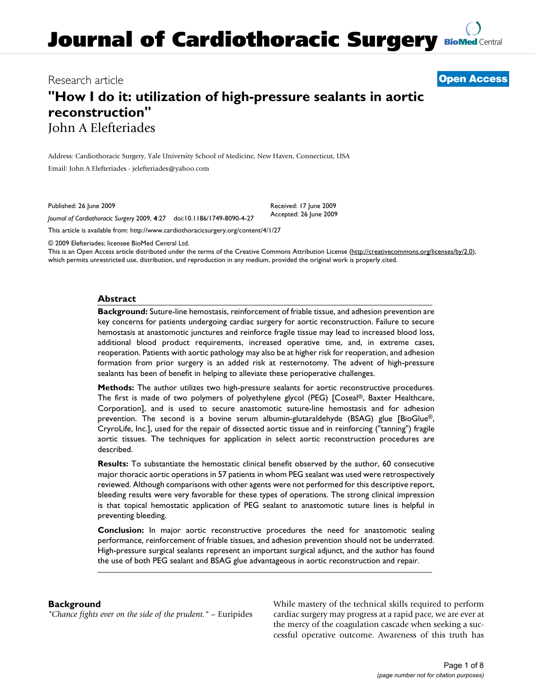# **Journal of Cardiothoracic Surgery [BioMed](http://www.biomedcentral.com/) Central**

# Research article **[Open Access](http://www.biomedcentral.com/info/about/charter/)**

# **"How I do it: utilization of high-pressure sealants in aortic reconstruction"** John A Elefteriades

Address: Cardiothoracic Surgery, Yale University School of Medicine, New Haven, Connecticut, USA Email: John A Elefteriades - jelefteriades@yahoo.co[m](http://www.ncbi.nlm.nih.gov/entrez/query.fcgi?cmd=Retrieve&db=PubMed&dopt=Abstract&list_uids=19558685)

Published: 26 June 2009

*Journal of Cardiothoracic Surgery* 2009, **4**:27 doi:10.1186/1749-8090-4-27

Received: 17 June 2009 Accepted: 26 June 2009

[This article is available from: http://www.cardiothoracicsurgery.org/content/4/1/27](http://www.cardiothoracicsurgery.org/content/4/1/27)

© 2009 Elefteriades; licensee BioMed Central Ltd.

This is an Open Access article distributed under the terms of the Creative Commons Attribution License [\(http://creativecommons.org/licenses/by/2.0\)](http://creativecommons.org/licenses/by/2.0), which permits unrestricted use, distribution, and reproduction in any medium, provided the original work is properly cited.

# **Abstract**

**Background:** Suture-line hemostasis, reinforcement of friable tissue, and adhesion prevention are key concerns for patients undergoing cardiac surgery for aortic reconstruction. Failure to secure hemostasis at anastomotic junctures and reinforce fragile tissue may lead to increased blood loss, additional blood product requirements, increased operative time, and, in extreme cases, reoperation. Patients with aortic pathology may also be at higher risk for reoperation, and adhesion formation from prior surgery is an added risk at resternotomy. The advent of high-pressure sealants has been of benefit in helping to alleviate these perioperative challenges.

**Methods:** The author utilizes two high-pressure sealants for aortic reconstructive procedures. The first is made of two polymers of polyethylene glycol (PEG) [Coseal®, Baxter Healthcare, Corporation], and is used to secure anastomotic suture-line hemostasis and for adhesion prevention. The second is a bovine serum albumin-glutaraldehyde (BSAG) glue [BioGlue®, CryroLife, Inc.], used for the repair of dissected aortic tissue and in reinforcing ("tanning") fragile aortic tissues. The techniques for application in select aortic reconstruction procedures are described.

**Results:** To substantiate the hemostatic clinical benefit observed by the author, 60 consecutive major thoracic aortic operations in 57 patients in whom PEG sealant was used were retrospectively reviewed. Although comparisons with other agents were not performed for this descriptive report, bleeding results were very favorable for these types of operations. The strong clinical impression is that topical hemostatic application of PEG sealant to anastomotic suture lines is helpful in preventing bleeding.

**Conclusion:** In major aortic reconstructive procedures the need for anastomotic sealing performance, reinforcement of friable tissues, and adhesion prevention should not be underrated. High-pressure surgical sealants represent an important surgical adjunct, and the author has found the use of both PEG sealant and BSAG glue advantageous in aortic reconstruction and repair.

# **Background**

*"Chance fights ever on the side of the prudent."* – Euripides

While mastery of the technical skills required to perform cardiac surgery may progress at a rapid pace, we are ever at the mercy of the coagulation cascade when seeking a successful operative outcome. Awareness of this truth has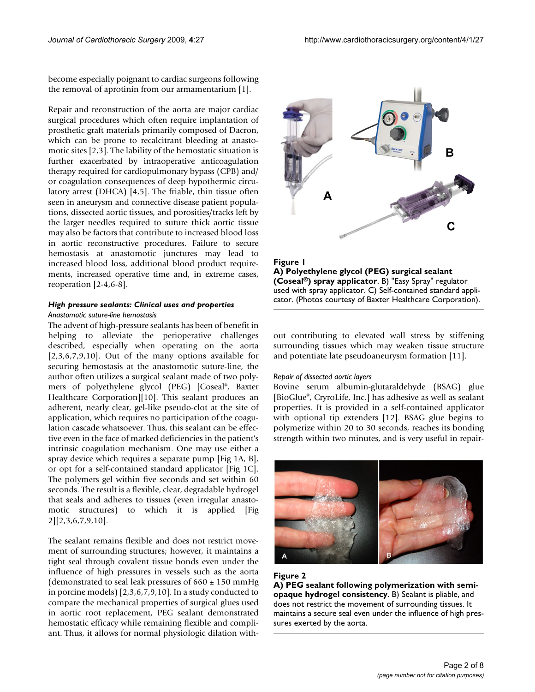become especially poignant to cardiac surgeons following the removal of aprotinin from our armamentarium [1].

Repair and reconstruction of the aorta are major cardiac surgical procedures which often require implantation of prosthetic graft materials primarily composed of Dacron, which can be prone to recalcitrant bleeding at anastomotic sites [2,3]. The lability of the hemostatic situation is further exacerbated by intraoperative anticoagulation therapy required for cardiopulmonary bypass (CPB) and/ or coagulation consequences of deep hypothermic circulatory arrest (DHCA) [4,5]. The friable, thin tissue often seen in aneurysm and connective disease patient populations, dissected aortic tissues, and porosities/tracks left by the larger needles required to suture thick aortic tissue may also be factors that contribute to increased blood loss in aortic reconstructive procedures. Failure to secure hemostasis at anastomotic junctures may lead to increased blood loss, additional blood product requirements, increased operative time and, in extreme cases, reoperation [2-4,6-8].

# *High pressure sealants: Clinical uses and properties Anastomotic suture-line hemostasis*

The advent of high-pressure sealants has been of benefit in helping to alleviate the perioperative challenges described, especially when operating on the aorta  $[2,3,6,7,9,10]$ . Out of the many options available for securing hemostasis at the anastomotic suture-line, the author often utilizes a surgical sealant made of two polymers of polyethylene glycol (PEG) [Coseal®, Baxter Healthcare Corporation][10]. This sealant produces an adherent, nearly clear, gel-like pseudo-clot at the site of application, which requires no participation of the coagulation cascade whatsoever. Thus, this sealant can be effective even in the face of marked deficiencies in the patient's intrinsic coagulation mechanism. One may use either a spray device which requires a separate pump [Fig 1A, B], or opt for a self-contained standard applicator [Fig 1C]. The polymers gel within five seconds and set within 60 seconds. The result is a flexible, clear, degradable hydrogel that seals and adheres to tissues (even irregular anastomotic structures) to which it is applied [Fig 2][2,3,6,7,9,10].

The sealant remains flexible and does not restrict movement of surrounding structures; however, it maintains a tight seal through covalent tissue bonds even under the influence of high pressures in vessels such as the aorta (demonstrated to seal leak pressures of  $660 \pm 150$  mmHg in porcine models) [2,3,6,7,9,10]. In a study conducted to compare the mechanical properties of surgical glues used in aortic root replacement, PEG sealant demonstrated hemostatic efficacy while remaining flexible and compliant. Thus, it allows for normal physiologic dilation with-



Figure 1 **A) Polyethylene glycol (PEG) surgical sealant (Coseal®) spray applicator**. B) "Easy Spray" regulator used with spray applicator. C) Self-contained standard applicator. (Photos courtesy of Baxter Healthcare Corporation).

out contributing to elevated wall stress by stiffening surrounding tissues which may weaken tissue structure and potentiate late pseudoaneurysm formation [11].

# *Repair of dissected aortic layers*

Bovine serum albumin-glutaraldehyde (BSAG) glue [BioGlue®, CryroLife, Inc.] has adhesive as well as sealant properties. It is provided in a self-contained applicator with optional tip extenders [12]. BSAG glue begins to polymerize within 20 to 30 seconds, reaches its bonding strength within two minutes, and is very useful in repair-



## Figure 2

**A) PEG sealant following polymerization with semiopaque hydrogel consistency**. B) Sealant is pliable, and does not restrict the movement of surrounding tissues. It maintains a secure seal even under the influence of high pressures exerted by the aorta.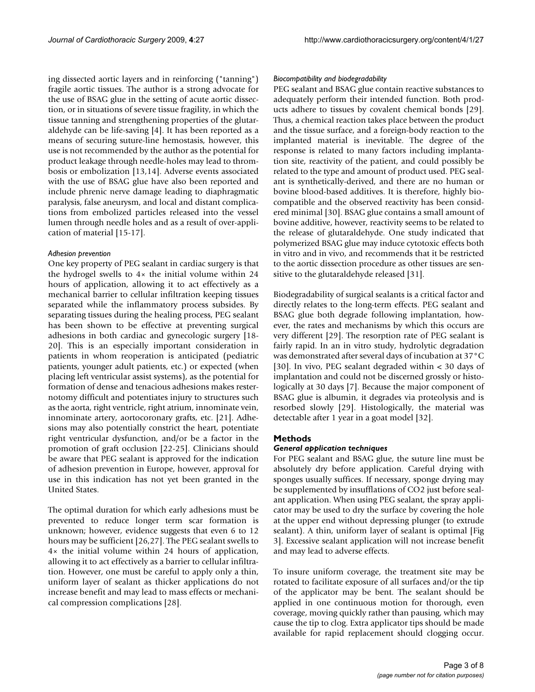ing dissected aortic layers and in reinforcing ("tanning") fragile aortic tissues. The author is a strong advocate for the use of BSAG glue in the setting of acute aortic dissection, or in situations of severe tissue fragility, in which the tissue tanning and strengthening properties of the glutaraldehyde can be life-saving [4]. It has been reported as a means of securing suture-line hemostasis, however, this use is not recommended by the author as the potential for product leakage through needle-holes may lead to thrombosis or embolization [13,14]. Adverse events associated with the use of BSAG glue have also been reported and include phrenic nerve damage leading to diaphragmatic paralysis, false aneurysm, and local and distant complications from embolized particles released into the vessel lumen through needle holes and as a result of over-application of material [15-17].

## *Adhesion prevention*

One key property of PEG sealant in cardiac surgery is that the hydrogel swells to 4× the initial volume within 24 hours of application, allowing it to act effectively as a mechanical barrier to cellular infiltration keeping tissues separated while the inflammatory process subsides. By separating tissues during the healing process, PEG sealant has been shown to be effective at preventing surgical adhesions in both cardiac and gynecologic surgery [18- 20]. This is an especially important consideration in patients in whom reoperation is anticipated (pediatric patients, younger adult patients, etc.) or expected (when placing left ventricular assist systems), as the potential for formation of dense and tenacious adhesions makes resternotomy difficult and potentiates injury to structures such as the aorta, right ventricle, right atrium, innominate vein, innominate artery, aortocoronary grafts, etc. [21]. Adhesions may also potentially constrict the heart, potentiate right ventricular dysfunction, and/or be a factor in the promotion of graft occlusion [22-25]. Clinicians should be aware that PEG sealant is approved for the indication of adhesion prevention in Europe, however, approval for use in this indication has not yet been granted in the United States.

The optimal duration for which early adhesions must be prevented to reduce longer term scar formation is unknown; however, evidence suggests that even 6 to 12 hours may be sufficient [26,27]. The PEG sealant swells to 4× the initial volume within 24 hours of application, allowing it to act effectively as a barrier to cellular infiltration. However, one must be careful to apply only a thin, uniform layer of sealant as thicker applications do not increase benefit and may lead to mass effects or mechanical compression complications [28].

## *Biocompatibility and biodegradability*

PEG sealant and BSAG glue contain reactive substances to adequately perform their intended function. Both products adhere to tissues by covalent chemical bonds [29]. Thus, a chemical reaction takes place between the product and the tissue surface, and a foreign-body reaction to the implanted material is inevitable. The degree of the response is related to many factors including implantation site, reactivity of the patient, and could possibly be related to the type and amount of product used. PEG sealant is synthetically-derived, and there are no human or bovine blood-based additives. It is therefore, highly biocompatible and the observed reactivity has been considered minimal [30]. BSAG glue contains a small amount of bovine additive, however, reactivity seems to be related to the release of glutaraldehyde. One study indicated that polymerized BSAG glue may induce cytotoxic effects both in vitro and in vivo, and recommends that it be restricted to the aortic dissection procedure as other tissues are sensitive to the glutaraldehyde released [31].

Biodegradability of surgical sealants is a critical factor and directly relates to the long-term effects. PEG sealant and BSAG glue both degrade following implantation, however, the rates and mechanisms by which this occurs are very different [29]. The resorption rate of PEG sealant is fairly rapid. In an in vitro study, hydrolytic degradation was demonstrated after several days of incubation at 37°C [30]. In vivo, PEG sealant degraded within < 30 days of implantation and could not be discerned grossly or histologically at 30 days [7]. Because the major component of BSAG glue is albumin, it degrades via proteolysis and is resorbed slowly [29]. Histologically, the material was detectable after 1 year in a goat model [32].

# **Methods**

#### *General application techniques*

For PEG sealant and BSAG glue, the suture line must be absolutely dry before application. Careful drying with sponges usually suffices. If necessary, sponge drying may be supplemented by insufflations of CO2 just before sealant application. When using PEG sealant, the spray applicator may be used to dry the surface by covering the hole at the upper end without depressing plunger (to extrude sealant). A thin, uniform layer of sealant is optimal [Fig 3]. Excessive sealant application will not increase benefit and may lead to adverse effects.

To insure uniform coverage, the treatment site may be rotated to facilitate exposure of all surfaces and/or the tip of the applicator may be bent. The sealant should be applied in one continuous motion for thorough, even coverage, moving quickly rather than pausing, which may cause the tip to clog. Extra applicator tips should be made available for rapid replacement should clogging occur.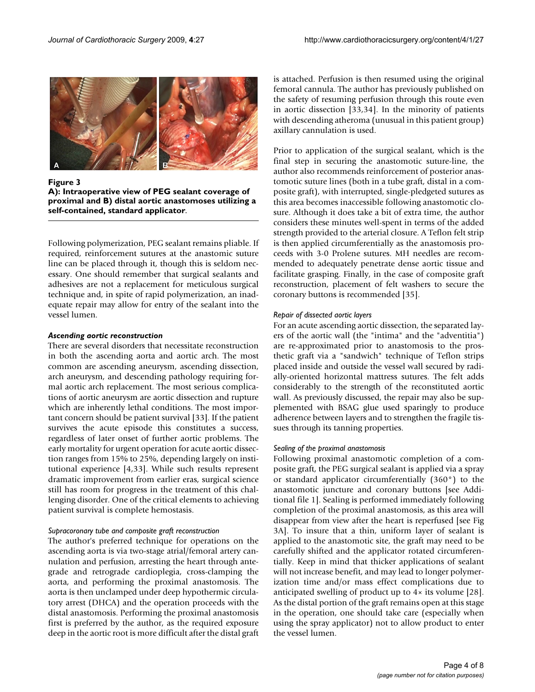

Figure 3

**A): Intraoperative view of PEG sealant coverage of proximal and B) distal aortic anastomoses utilizing a self-contained, standard applicator**.

Following polymerization, PEG sealant remains pliable. If required, reinforcement sutures at the anastomic suture line can be placed through it, though this is seldom necessary. One should remember that surgical sealants and adhesives are not a replacement for meticulous surgical technique and, in spite of rapid polymerization, an inadequate repair may allow for entry of the sealant into the vessel lumen.

# *Ascending aortic reconstruction*

There are several disorders that necessitate reconstruction in both the ascending aorta and aortic arch. The most common are ascending aneurysm, ascending dissection, arch aneurysm, and descending pathology requiring formal aortic arch replacement. The most serious complications of aortic aneurysm are aortic dissection and rupture which are inherently lethal conditions. The most important concern should be patient survival [33]. If the patient survives the acute episode this constitutes a success, regardless of later onset of further aortic problems. The early mortality for urgent operation for acute aortic dissection ranges from 15% to 25%, depending largely on institutional experience [4,33]. While such results represent dramatic improvement from earlier eras, surgical science still has room for progress in the treatment of this challenging disorder. One of the critical elements to achieving patient survival is complete hemostasis.

# *Supracoronary tube and composite graft reconstruction*

The author's preferred technique for operations on the ascending aorta is via two-stage atrial/femoral artery cannulation and perfusion, arresting the heart through antegrade and retrograde cardioplegia, cross-clamping the aorta, and performing the proximal anastomosis. The aorta is then unclamped under deep hypothermic circulatory arrest (DHCA) and the operation proceeds with the distal anastomosis. Performing the proximal anastomosis first is preferred by the author, as the required exposure deep in the aortic root is more difficult after the distal graft is attached. Perfusion is then resumed using the original femoral cannula. The author has previously published on the safety of resuming perfusion through this route even in aortic dissection [33,34]. In the minority of patients with descending atheroma (unusual in this patient group) axillary cannulation is used.

Prior to application of the surgical sealant, which is the final step in securing the anastomotic suture-line, the author also recommends reinforcement of posterior anastomotic suture lines (both in a tube graft, distal in a composite graft), with interrupted, single-pledgeted sutures as this area becomes inaccessible following anastomotic closure. Although it does take a bit of extra time, the author considers these minutes well-spent in terms of the added strength provided to the arterial closure. A Teflon felt strip is then applied circumferentially as the anastomosis proceeds with 3-0 Prolene sutures. MH needles are recommended to adequately penetrate dense aortic tissue and facilitate grasping. Finally, in the case of composite graft reconstruction, placement of felt washers to secure the coronary buttons is recommended [35].

# *Repair of dissected aortic layers*

For an acute ascending aortic dissection, the separated layers of the aortic wall (the "intima" and the "adventitia") are re-approximated prior to anastomosis to the prosthetic graft via a "sandwich" technique of Teflon strips placed inside and outside the vessel wall secured by radially-oriented horizontal mattress sutures. The felt adds considerably to the strength of the reconstituted aortic wall. As previously discussed, the repair may also be supplemented with BSAG glue used sparingly to produce adherence between layers and to strengthen the fragile tissues through its tanning properties.

# *Sealing of the proximal anastomosis*

Following proximal anastomotic completion of a composite graft, the PEG surgical sealant is applied via a spray or standard applicator circumferentially (360°) to the anastomotic juncture and coronary buttons [see Additional file 1]. Sealing is performed immediately following completion of the proximal anastomosis, as this area will disappear from view after the heart is reperfused [see Fig 3A]. To insure that a thin, uniform layer of sealant is applied to the anastomotic site, the graft may need to be carefully shifted and the applicator rotated circumferentially. Keep in mind that thicker applications of sealant will not increase benefit, and may lead to longer polymerization time and/or mass effect complications due to anticipated swelling of product up to 4× its volume [28]. As the distal portion of the graft remains open at this stage in the operation, one should take care (especially when using the spray applicator) not to allow product to enter the vessel lumen.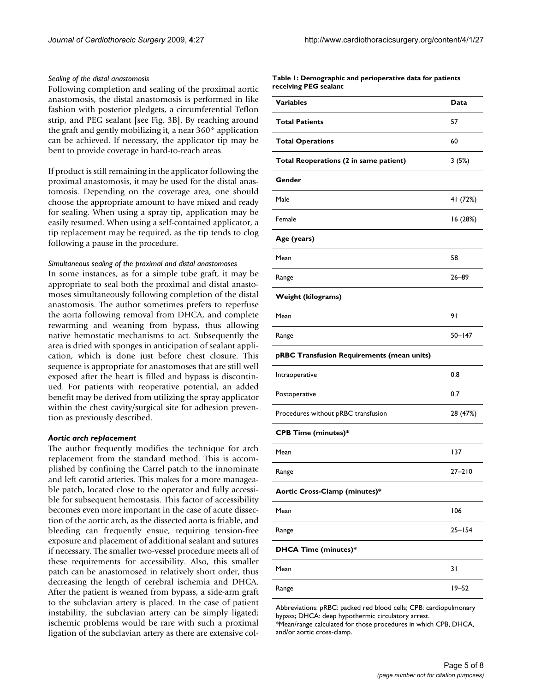**Table 1: Demographic and perioperative data for patients** 

#### *Sealing of the distal anastomosis*

Following completion and sealing of the proximal aortic anastomosis, the distal anastomosis is performed in like fashion with posterior pledgets, a circumferential Teflon strip, and PEG sealant [see Fig. 3B]. By reaching around the graft and gently mobilizing it, a near 360° application can be achieved. If necessary, the applicator tip may be bent to provide coverage in hard-to-reach areas.

If product is still remaining in the applicator following the proximal anastomosis, it may be used for the distal anastomosis. Depending on the coverage area, one should choose the appropriate amount to have mixed and ready for sealing. When using a spray tip, application may be easily resumed. When using a self-contained applicator, a tip replacement may be required, as the tip tends to clog following a pause in the procedure.

#### *Simultaneous sealing of the proximal and distal anastomoses*

In some instances, as for a simple tube graft, it may be appropriate to seal both the proximal and distal anastomoses simultaneously following completion of the distal anastomosis. The author sometimes prefers to reperfuse the aorta following removal from DHCA, and complete rewarming and weaning from bypass, thus allowing native hemostatic mechanisms to act. Subsequently the area is dried with sponges in anticipation of sealant application, which is done just before chest closure. This sequence is appropriate for anastomoses that are still well exposed after the heart is filled and bypass is discontinued. For patients with reoperative potential, an added benefit may be derived from utilizing the spray applicator within the chest cavity/surgical site for adhesion prevention as previously described.

#### *Aortic arch replacement*

The author frequently modifies the technique for arch replacement from the standard method. This is accomplished by confining the Carrel patch to the innominate and left carotid arteries. This makes for a more manageable patch, located close to the operator and fully accessible for subsequent hemostasis. This factor of accessibility becomes even more important in the case of acute dissection of the aortic arch, as the dissected aorta is friable, and bleeding can frequently ensue, requiring tension-free exposure and placement of additional sealant and sutures if necessary. The smaller two-vessel procedure meets all of these requirements for accessibility. Also, this smaller patch can be anastomosed in relatively short order, thus decreasing the length of cerebral ischemia and DHCA. After the patient is weaned from bypass, a side-arm graft to the subclavian artery is placed. In the case of patient instability, the subclavian artery can be simply ligated; ischemic problems would be rare with such a proximal ligation of the subclavian artery as there are extensive col-

| receiving PEG sealant                      |            |
|--------------------------------------------|------------|
| <b>Variables</b>                           | Data       |
| <b>Total Patients</b>                      | 57         |
| <b>Total Operations</b>                    | 60         |
| Total Reoperations (2 in same patient)     | 3(5%)      |
| Gender                                     |            |
| Male                                       | 41 (72%)   |
| Female                                     | 16 (28%)   |
| Age (years)                                |            |
| Mean                                       | 58         |
| Range                                      | $26 - 89$  |
| <b>Weight (kilograms)</b>                  |            |
| Mean                                       | 91         |
| Range                                      | $50 - 147$ |
| pRBC Transfusion Requirements (mean units) |            |
| Intraoperative                             | 0.8        |
| Postoperative                              | 0.7        |
| Procedures without pRBC transfusion        | 28 (47%)   |
| <b>CPB Time (minutes)*</b>                 |            |
| Mean                                       | 137        |
| Range                                      | $27 - 210$ |
| Aortic Cross-Clamp (minutes)*              |            |
| Mean                                       | 106        |
| Range                                      | $25 - 154$ |
| <b>DHCA Time (minutes)*</b>                |            |
| Mean                                       | 31         |
| Range                                      | $19 - 52$  |
|                                            |            |

Abbreviations: pRBC: packed red blood cells; CPB: cardiopulmonary bypass; DHCA: deep hypothermic circulatory arrest. \*Mean/range calculated for those procedures in which CPB, DHCA, and/or aortic cross-clamp.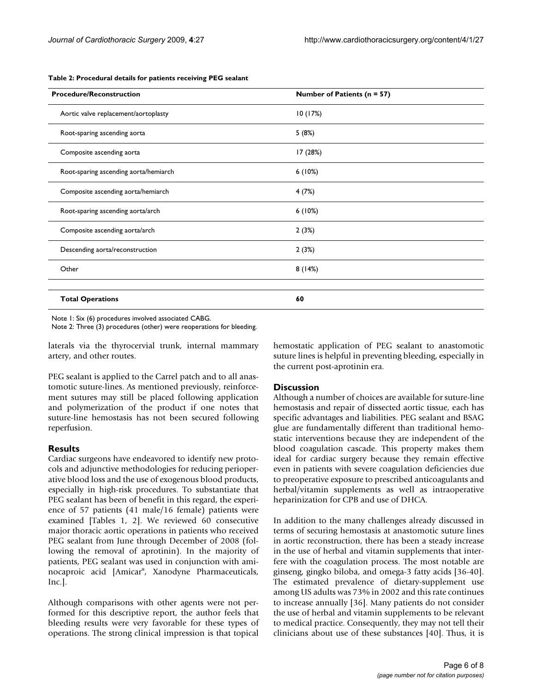| <b>Procedure/Reconstruction</b>       | Number of Patients ( $n = 57$ ) |
|---------------------------------------|---------------------------------|
| Aortic valve replacement/aortoplasty  | 10(17%)                         |
| Root-sparing ascending aorta          | 5 (8%)                          |
| Composite ascending aorta             | 17 (28%)                        |
| Root-sparing ascending aorta/hemiarch | 6(10%)                          |
| Composite ascending aorta/hemiarch    | 4(7%)                           |
| Root-sparing ascending aorta/arch     | 6(10%)                          |
| Composite ascending aorta/arch        | 2(3%)                           |
| Descending aorta/reconstruction       | 2(3%)                           |
| Other                                 | 8(14%)                          |
|                                       |                                 |
| <b>Total Operations</b>               | 60                              |

**Table 2: Procedural details for patients receiving PEG sealant**

Note 1: Six (6) procedures involved associated CABG.

Note 2: Three (3) procedures (other) were reoperations for bleeding.

laterals via the thyrocervial trunk, internal mammary artery, and other routes.

PEG sealant is applied to the Carrel patch and to all anastomotic suture-lines. As mentioned previously, reinforcement sutures may still be placed following application and polymerization of the product if one notes that suture-line hemostasis has not been secured following reperfusion.

#### **Results**

Cardiac surgeons have endeavored to identify new protocols and adjunctive methodologies for reducing perioperative blood loss and the use of exogenous blood products, especially in high-risk procedures. To substantiate that PEG sealant has been of benefit in this regard, the experience of 57 patients (41 male/16 female) patients were examined [Tables 1, 2]. We reviewed 60 consecutive major thoracic aortic operations in patients who received PEG sealant from June through December of 2008 (following the removal of aprotinin). In the majority of patients, PEG sealant was used in conjunction with aminocaproic acid [Amicar®, Xanodyne Pharmaceuticals, Inc.].

Although comparisons with other agents were not performed for this descriptive report, the author feels that bleeding results were very favorable for these types of operations. The strong clinical impression is that topical

hemostatic application of PEG sealant to anastomotic suture lines is helpful in preventing bleeding, especially in the current post-aprotinin era.

#### **Discussion**

Although a number of choices are available for suture-line hemostasis and repair of dissected aortic tissue, each has specific advantages and liabilities. PEG sealant and BSAG glue are fundamentally different than traditional hemostatic interventions because they are independent of the blood coagulation cascade. This property makes them ideal for cardiac surgery because they remain effective even in patients with severe coagulation deficiencies due to preoperative exposure to prescribed anticoagulants and herbal/vitamin supplements as well as intraoperative heparinization for CPB and use of DHCA.

In addition to the many challenges already discussed in terms of securing hemostasis at anastomotic suture lines in aortic reconstruction, there has been a steady increase in the use of herbal and vitamin supplements that interfere with the coagulation process. The most notable are ginseng, gingko biloba, and omega-3 fatty acids [36-40]. The estimated prevalence of dietary-supplement use among US adults was 73% in 2002 and this rate continues to increase annually [36]. Many patients do not consider the use of herbal and vitamin supplements to be relevant to medical practice. Consequently, they may not tell their clinicians about use of these substances [40]. Thus, it is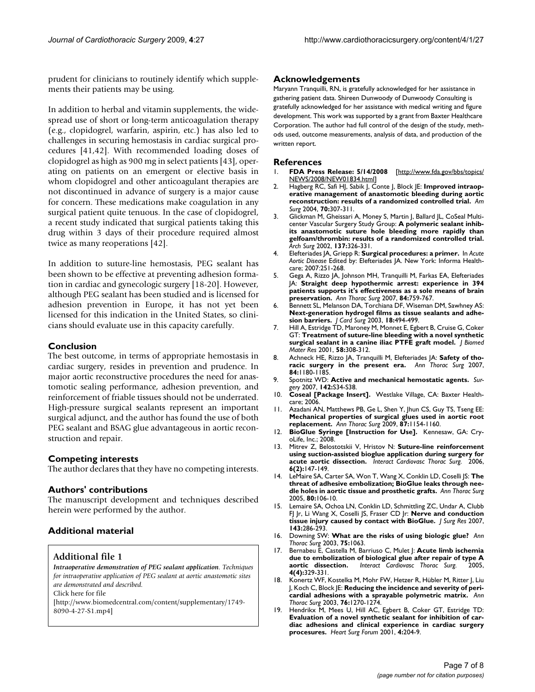prudent for clinicians to routinely identify which supplements their patients may be using.

In addition to herbal and vitamin supplements, the widespread use of short or long-term anticoagulation therapy (e.g., clopidogrel, warfarin, aspirin, etc.) has also led to challenges in securing hemostasis in cardiac surgical procedures [41,42]. With recommended loading doses of clopidogrel as high as 900 mg in select patients [43], operating on patients on an emergent or elective basis in whom clopidogrel and other anticoagulant therapies are not discontinued in advance of surgery is a major cause for concern. These medications make coagulation in any surgical patient quite tenuous. In the case of clopidogrel, a recent study indicated that surgical patients taking this drug within 3 days of their procedure required almost twice as many reoperations [42].

In addition to suture-line hemostasis, PEG sealant has been shown to be effective at preventing adhesion formation in cardiac and gynecologic surgery [18-20]. However, although PEG sealant has been studied and is licensed for adhesion prevention in Europe, it has not yet been licensed for this indication in the United States, so clinicians should evaluate use in this capacity carefully.

# **Conclusion**

The best outcome, in terms of appropriate hemostasis in cardiac surgery, resides in prevention and prudence. In major aortic reconstructive procedures the need for anastomotic sealing performance, adhesion prevention, and reinforcement of friable tissues should not be underrated. High-pressure surgical sealants represent an important surgical adjunct, and the author has found the use of both PEG sealant and BSAG glue advantageous in aortic reconstruction and repair.

# **Competing interests**

The author declares that they have no competing interests.

# **Authors' contributions**

The manuscript development and techniques described herein were performed by the author.

# **Additional material**

# **Additional file 1**

*Intraoperative demonstration of PEG sealant application. Techniques for intraoperative application of PEG sealant at aortic anastomotic sites are demonstrated and described.* Click here for file [\[http://www.biomedcentral.com/content/supplementary/1749-](http://www.biomedcentral.com/content/supplementary/1749-8090-4-27-S1.mp4) 8090-4-27-S1.mp4]

# **Acknowledgements**

Maryann Tranquilli, RN, is gratefully acknowledged for her assistance in gathering patient data. Shireen Dunwoody of Dunwoody Consulting is gratefully acknowledged for her assistance with medical writing and figure development. This work was supported by a grant from Baxter Healthcare Corporation. The author had full control of the design of the study, methods used, outcome measurements, analysis of data, and production of the written report.

## **References**

- 1. **FDA Press Release: 5/14/2008** [[http://www.fda.gov/bbs/topics/](http://www.fda.gov/bbs/topics/NEWS/2008/NEW01834.html) [NEWS/2008/NEW01834.html\]](http://www.fda.gov/bbs/topics/NEWS/2008/NEW01834.html)
- 2. Hagberg RC, Safi HJ, Sabik J, Conte J, Block JE: **[Improved intraop](http://www.ncbi.nlm.nih.gov/entrez/query.fcgi?cmd=Retrieve&db=PubMed&dopt=Abstract&list_uids=15098782)[erative management of anastomotic bleeding during aortic](http://www.ncbi.nlm.nih.gov/entrez/query.fcgi?cmd=Retrieve&db=PubMed&dopt=Abstract&list_uids=15098782) [reconstruction: results of a randomized controlled trial.](http://www.ncbi.nlm.nih.gov/entrez/query.fcgi?cmd=Retrieve&db=PubMed&dopt=Abstract&list_uids=15098782)** *Am Surg* 2004, **70:**307-311.
- 3. Glickman M, Gheissari A, Money S, Martin J, Ballard JL, CoSeal Multicenter Vascular Surgery Study Group: **[A polymeric sealant inhib](http://www.ncbi.nlm.nih.gov/entrez/query.fcgi?cmd=Retrieve&db=PubMed&dopt=Abstract&list_uids=11888460)[its anastomotic suture hole bleeding more rapidly than](http://www.ncbi.nlm.nih.gov/entrez/query.fcgi?cmd=Retrieve&db=PubMed&dopt=Abstract&list_uids=11888460) gelfoam/thrombin: results of a randomized controlled trial.** *Arch Surg* 2002, **137:**326-331.
- 4. Elefteriades JA, Griepp R: **Surgical procedures: a primer.** In *Acute Aortic Disease* Edited by: Elefteriades JA. New York: Informa Healthcare; 2007:251-268.
- 5. Gega A, Rizzo JA, Johnson MH, Tranquilli M, Farkas EA, Elefteriades JA: **[Straight deep hypothermic arrest: experience in 394](http://www.ncbi.nlm.nih.gov/entrez/query.fcgi?cmd=Retrieve&db=PubMed&dopt=Abstract&list_uids=17720372) [patients supports it's effectiveness as a sole means of brain](http://www.ncbi.nlm.nih.gov/entrez/query.fcgi?cmd=Retrieve&db=PubMed&dopt=Abstract&list_uids=17720372) [preservation.](http://www.ncbi.nlm.nih.gov/entrez/query.fcgi?cmd=Retrieve&db=PubMed&dopt=Abstract&list_uids=17720372)** *Ann Thorac Surg* 2007, **84:**759-767.
- 6. Bennett SL, Melanson DA, Torchiana DF, Wiseman DM, Sawhney AS: **[Next-generation hydrogel films as tissue sealants and adhe](http://www.ncbi.nlm.nih.gov/entrez/query.fcgi?cmd=Retrieve&db=PubMed&dopt=Abstract&list_uids=14992098)[sion barriers.](http://www.ncbi.nlm.nih.gov/entrez/query.fcgi?cmd=Retrieve&db=PubMed&dopt=Abstract&list_uids=14992098)** *J Card Surg* 2003, **18:**494-499.
- 7. Hill A, Estridge TD, Maroney M, Monnet E, Egbert B, Cruise G, Coker GT: **[Treatment of suture-line bleeding with a novel synthetic](http://www.ncbi.nlm.nih.gov/entrez/query.fcgi?cmd=Retrieve&db=PubMed&dopt=Abstract&list_uids=11319746) [surgical sealant in a canine iliac PTFE graft model.](http://www.ncbi.nlm.nih.gov/entrez/query.fcgi?cmd=Retrieve&db=PubMed&dopt=Abstract&list_uids=11319746)** *J Biomed Mater Res* 2001, **58:**308-312.
- 8. Achneck HE, Rizzo JA, Tranquilli M, Elefteriades JA: **[Safety of tho](http://www.ncbi.nlm.nih.gov/entrez/query.fcgi?cmd=Retrieve&db=PubMed&dopt=Abstract&list_uids=17888967)[racic surgery in the present era.](http://www.ncbi.nlm.nih.gov/entrez/query.fcgi?cmd=Retrieve&db=PubMed&dopt=Abstract&list_uids=17888967)** *Ann Thorac Surg* 2007, **84:**1180-1185.
- 9. Spotnitz WD: **[Active and mechanical hemostatic agents.](http://www.ncbi.nlm.nih.gov/entrez/query.fcgi?cmd=Retrieve&db=PubMed&dopt=Abstract&list_uids=18019942)** *Surgery* 2007, **142:**S34-S38.
- 10. **Coseal [Package Insert].** Westlake Village, CA: Baxter Healthcare; 2006.
- 11. Azadani AN, Matthews PB, Ge L, Shen Y, Jhun CS, Guy TS, Tseng EE: **[Mechanical properties of surgical glues used in aortic root](http://www.ncbi.nlm.nih.gov/entrez/query.fcgi?cmd=Retrieve&db=PubMed&dopt=Abstract&list_uids=19324142) [replacement.](http://www.ncbi.nlm.nih.gov/entrez/query.fcgi?cmd=Retrieve&db=PubMed&dopt=Abstract&list_uids=19324142)** *Ann Thorac Surg* 2009, **87:**1154-1160.
- 12. **BioGlue Syringe [Instruction for Use].** Kennesaw, GA: CryoLife, Inc.; 2008.
- 13. Mitrev Z, Belostotskii V, Hristov N: **[Suture-line reinforcement](http://www.ncbi.nlm.nih.gov/entrez/query.fcgi?cmd=Retrieve&db=PubMed&dopt=Abstract&list_uids=17669795) [using suction-assisted bioglue application during surgery for](http://www.ncbi.nlm.nih.gov/entrez/query.fcgi?cmd=Retrieve&db=PubMed&dopt=Abstract&list_uids=17669795) [acute aortic dissection.](http://www.ncbi.nlm.nih.gov/entrez/query.fcgi?cmd=Retrieve&db=PubMed&dopt=Abstract&list_uids=17669795)** *Interact Cardiovasc Thorac Surg.* 2006, **6(2):**147-149.
- 14. LeMaire SA, Carter SA, Won T, Wang X, Conklin LD, Coselli JS: **[The](http://www.ncbi.nlm.nih.gov/entrez/query.fcgi?cmd=Retrieve&db=PubMed&dopt=Abstract&list_uids=15975350) [threat of adhesive embolization; BioGlue leaks through nee](http://www.ncbi.nlm.nih.gov/entrez/query.fcgi?cmd=Retrieve&db=PubMed&dopt=Abstract&list_uids=15975350)[dle holes in aortic tissue and prosthetic grafts.](http://www.ncbi.nlm.nih.gov/entrez/query.fcgi?cmd=Retrieve&db=PubMed&dopt=Abstract&list_uids=15975350)** *Ann Thorac Surg* 2005, **80:**106-10.
- 15. Lemaire SA, Ochoa LN, Conklin LD, Schmittling ZC, Undar A, Clubb FJ Jr, Li Wang X, Coselli JS, Fraser CD Jr: **[Nerve and conduction](http://www.ncbi.nlm.nih.gov/entrez/query.fcgi?cmd=Retrieve&db=PubMed&dopt=Abstract&list_uids=17765925) [tissue injury caused by contact with BioGlue.](http://www.ncbi.nlm.nih.gov/entrez/query.fcgi?cmd=Retrieve&db=PubMed&dopt=Abstract&list_uids=17765925)** *J Surg Res* 2007, **143:**286-293.
- 16. Downing SW: **[What are the risks of using biologic glue?](http://www.ncbi.nlm.nih.gov/entrez/query.fcgi?cmd=Retrieve&db=PubMed&dopt=Abstract&list_uids=12645755)** *Ann Thorac Surg* 2003, **75:**1063.
- 17. Bernabeu E, Castella M, Barriuso C, Mulet J: **[Acute limb ischemia](http://www.ncbi.nlm.nih.gov/entrez/query.fcgi?cmd=Retrieve&db=PubMed&dopt=Abstract&list_uids=17670424) [due to embolization of biological glue after repair of type A](http://www.ncbi.nlm.nih.gov/entrez/query.fcgi?cmd=Retrieve&db=PubMed&dopt=Abstract&list_uids=17670424)**<br>**aortic** dissection. Interact Cardiovasc Thorac Surg. 2005. **[aortic dissection.](http://www.ncbi.nlm.nih.gov/entrez/query.fcgi?cmd=Retrieve&db=PubMed&dopt=Abstract&list_uids=17670424)** *Interact Cardiovasc Thorac Surg.* 2005, **4(4):**329-331.
- 18. Konertz WF, Kostelka M, Mohr FW, Hetzer R, Hübler M, Ritter J, Liu J, Koch C, Block JE: **[Reducing the incidence and severity of peri](http://www.ncbi.nlm.nih.gov/entrez/query.fcgi?cmd=Retrieve&db=PubMed&dopt=Abstract&list_uids=14530024)[cardial adhesions with a sprayable polymetric matrix.](http://www.ncbi.nlm.nih.gov/entrez/query.fcgi?cmd=Retrieve&db=PubMed&dopt=Abstract&list_uids=14530024)** *Ann Thorac Surg* 2003, **76:**1270-1274.
- 19. Hendrikx M, Mees U, Hill AC, Egbert B, Coker GT, Estridge TD: **Evaluation of a novel synthetic sealant for inhibition of car[diac adhesions and clinical experience in cardiac surgery](http://www.ncbi.nlm.nih.gov/entrez/query.fcgi?cmd=Retrieve&db=PubMed&dopt=Abstract&list_uids=11673138) [procesures.](http://www.ncbi.nlm.nih.gov/entrez/query.fcgi?cmd=Retrieve&db=PubMed&dopt=Abstract&list_uids=11673138)** *Heart Surg Forum* 2001, **4:**204-9.